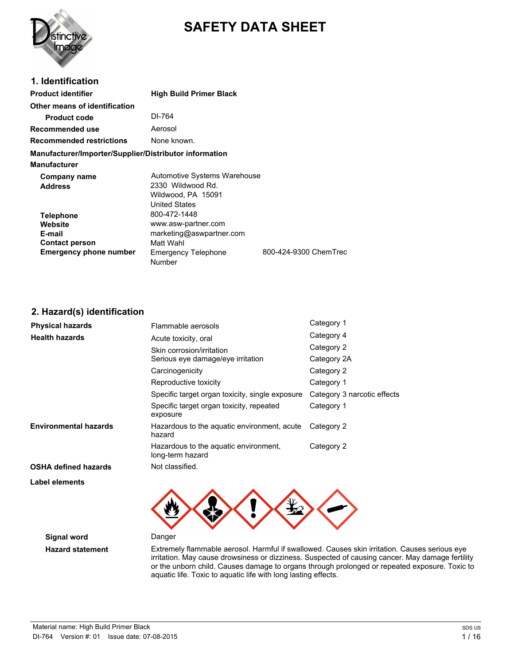

# **SAFETY DATA SHEET**

| 1. Identification                                      |                                                                                                 |                       |
|--------------------------------------------------------|-------------------------------------------------------------------------------------------------|-----------------------|
| <b>Product identifier</b>                              | <b>High Build Primer Black</b>                                                                  |                       |
| Other means of identification                          |                                                                                                 |                       |
| <b>Product code</b>                                    | DI-764                                                                                          |                       |
| Recommended use                                        | Aerosol                                                                                         |                       |
| <b>Recommended restrictions</b>                        | None known.                                                                                     |                       |
| Manufacturer/Importer/Supplier/Distributor information |                                                                                                 |                       |
| <b>Manufacturer</b>                                    |                                                                                                 |                       |
| Company name<br><b>Address</b>                         | Automotive Systems Warehouse<br>2330 Wildwood Rd.<br>Wildwood, PA 15091<br><b>United States</b> |                       |
| <b>Telephone</b>                                       | 800-472-1448                                                                                    |                       |
| Website                                                | www.asw-partner.com                                                                             |                       |
| E-mail                                                 | marketing@aswpartner.com                                                                        |                       |
| <b>Contact person</b>                                  | Matt Wahl                                                                                       |                       |
| <b>Emergency phone number</b>                          | <b>Emergency Telephone</b>                                                                      | 800-424-9300 ChemTrec |

Number

### **2. Hazard(s) identification**

| <b>Physical hazards</b>      | Flammable aerosols                                        | Category 1                  |
|------------------------------|-----------------------------------------------------------|-----------------------------|
| <b>Health hazards</b>        | Acute toxicity, oral                                      | Category 4                  |
|                              | Skin corrosion/irritation                                 | Category 2                  |
|                              | Serious eye damage/eye irritation                         | Category 2A                 |
|                              | Carcinogenicity                                           | Category 2                  |
|                              | Reproductive toxicity                                     | Category 1                  |
|                              | Specific target organ toxicity, single exposure           | Category 3 narcotic effects |
|                              | Specific target organ toxicity, repeated<br>exposure      | Category 1                  |
| <b>Environmental hazards</b> | Hazardous to the aquatic environment, acute<br>hazard     | Category 2                  |
|                              | Hazardous to the aquatic environment,<br>long-term hazard | Category 2                  |
| <b>OSHA defined hazards</b>  | Not classified.                                           |                             |
| Label elements               |                                                           |                             |



**Signal word** Danger

**Hazard statement** Extremely flammable aerosol. Harmful if swallowed. Causes skin irritation. Causes serious eye irritation. May cause drowsiness or dizziness. Suspected of causing cancer. May damage fertility or the unborn child. Causes damage to organs through prolonged or repeated exposure. Toxic to aquatic life. Toxic to aquatic life with long lasting effects.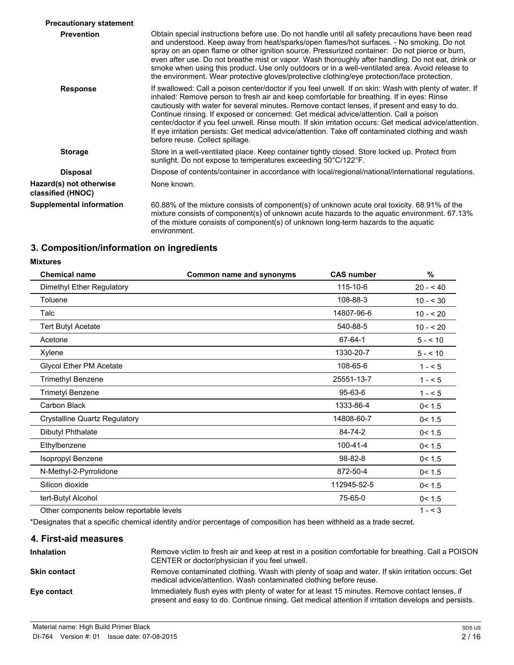| <b>Precautionary statement</b>               |                                                                                                                                                                                                                                                                                                                                                                                                                                                                                                                                                                                                                                                   |
|----------------------------------------------|---------------------------------------------------------------------------------------------------------------------------------------------------------------------------------------------------------------------------------------------------------------------------------------------------------------------------------------------------------------------------------------------------------------------------------------------------------------------------------------------------------------------------------------------------------------------------------------------------------------------------------------------------|
| <b>Prevention</b>                            | Obtain special instructions before use. Do not handle until all safety precautions have been read<br>and understood. Keep away from heat/sparks/open flames/hot surfaces. - No smoking. Do not<br>spray on an open flame or other ignition source. Pressurized container: Do not pierce or burn,<br>even after use. Do not breathe mist or vapor. Wash thoroughly after handling. Do not eat, drink or<br>smoke when using this product. Use only outdoors or in a well-ventilated area. Avoid release to<br>the environment. Wear protective gloves/protective clothing/eye protection/face protection.                                          |
| <b>Response</b>                              | If swallowed: Call a poison center/doctor if you feel unwell. If on skin: Wash with plenty of water. If<br>inhaled: Remove person to fresh air and keep comfortable for breathing. If in eyes: Rinse<br>cautiously with water for several minutes. Remove contact lenses, if present and easy to do.<br>Continue rinsing. If exposed or concerned: Get medical advice/attention. Call a poison<br>center/doctor if you feel unwell. Rinse mouth. If skin irritation occurs: Get medical advice/attention.<br>If eye irritation persists: Get medical advice/attention. Take off contaminated clothing and wash<br>before reuse. Collect spillage. |
| <b>Storage</b>                               | Store in a well-ventilated place. Keep container tightly closed. Store locked up. Protect from<br>sunlight. Do not expose to temperatures exceeding 50°C/122°F.                                                                                                                                                                                                                                                                                                                                                                                                                                                                                   |
| <b>Disposal</b>                              | Dispose of contents/container in accordance with local/regional/national/international regulations.                                                                                                                                                                                                                                                                                                                                                                                                                                                                                                                                               |
| Hazard(s) not otherwise<br>classified (HNOC) | None known.                                                                                                                                                                                                                                                                                                                                                                                                                                                                                                                                                                                                                                       |
| <b>Supplemental information</b>              | 60.88% of the mixture consists of component(s) of unknown acute oral toxicity. 68.91% of the<br>mixture consists of component(s) of unknown acute hazards to the aquatic environment. 67.13%<br>of the mixture consists of component(s) of unknown long-term hazards to the aquatic<br>environment.                                                                                                                                                                                                                                                                                                                                               |

## **3. Composition/information on ingredients**

#### **Mixtures**

| <b>Chemical name</b>                     | Common name and synonyms | <b>CAS number</b> | %          |
|------------------------------------------|--------------------------|-------------------|------------|
| Dimethyl Ether Regulatory                |                          | 115-10-6          | $20 - 40$  |
| Toluene                                  |                          | 108-88-3          | $10 - 530$ |
| Talc                                     |                          | 14807-96-6        | $10 - 20$  |
| <b>Tert Butyl Acetate</b>                |                          | 540-88-5          | $10 - 520$ |
| Acetone                                  |                          | 67-64-1           | $5 - 10$   |
| Xylene                                   |                          | 1330-20-7         | $5 - 10$   |
| <b>Glycol Ether PM Acetate</b>           |                          | 108-65-6          | $1 - 5$    |
| <b>Trimethyl Benzene</b>                 |                          | 25551-13-7        | $1 - 5$    |
| <b>Trimetyl Benzene</b>                  |                          | $95 - 63 - 6$     | $1 - 5$    |
| Carbon Black                             |                          | 1333-86-4         | 0 < 1.5    |
| <b>Crystalline Quartz Regulatory</b>     |                          | 14808-60-7        | 0 < 1.5    |
| <b>Dibutyl Phthalate</b>                 |                          | 84-74-2           | 0 < 1.5    |
| Ethylbenzene                             |                          | $100 - 41 - 4$    | 0 < 1.5    |
| Isopropyl Benzene                        |                          | 98-82-8           | 0 < 1.5    |
| N-Methyl-2-Pyrrolidone                   |                          | 872-50-4          | 0 < 1.5    |
| Silicon dioxide                          |                          | 112945-52-5       | 0 < 1.5    |
| tert-Butyl Alcohol                       |                          | 75-65-0           | 0 < 1.5    |
| Other components below reportable levels |                          |                   | $1 - 3$    |

\*Designates that a specific chemical identity and/or percentage of composition has been withheld as a trade secret.

### **4. First-aid measures**

| <b>Inhalation</b>   | Remove victim to fresh air and keep at rest in a position comfortable for breathing. Call a POISON<br>CENTER or doctor/physician if you feel unwell.                                                   |
|---------------------|--------------------------------------------------------------------------------------------------------------------------------------------------------------------------------------------------------|
| <b>Skin contact</b> | Remove contaminated clothing. Wash with plenty of soap and water. If skin irritation occurs: Get<br>medical advice/attention. Wash contaminated clothing before reuse.                                 |
| Eye contact         | Immediately flush eyes with plenty of water for at least 15 minutes. Remove contact lenses, if<br>present and easy to do. Continue rinsing. Get medical attention if irritation develops and persists. |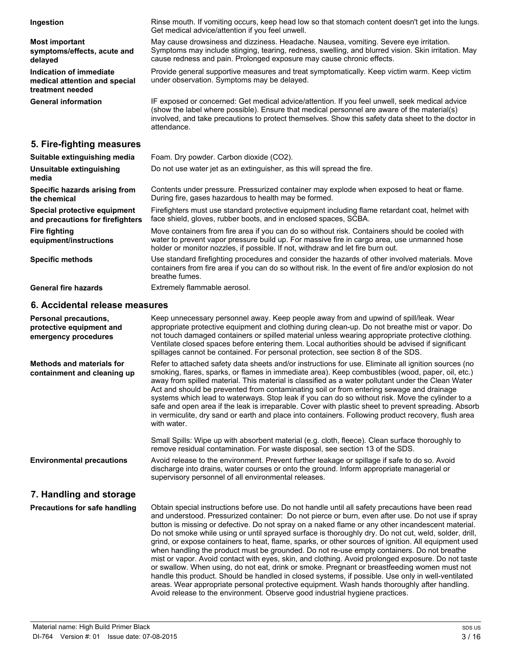| Ingestion                                                                    | Rinse mouth. If vomiting occurs, keep head low so that stomach content doesn't get into the lungs.<br>Get medical advice/attention if you feel unwell.                                                                                                                                                             |
|------------------------------------------------------------------------------|--------------------------------------------------------------------------------------------------------------------------------------------------------------------------------------------------------------------------------------------------------------------------------------------------------------------|
| <b>Most important</b><br>symptoms/effects, acute and<br>delayed              | May cause drowsiness and dizziness. Headache. Nausea, vomiting. Severe eye irritation.<br>Symptoms may include stinging, tearing, redness, swelling, and blurred vision. Skin irritation. May<br>cause redness and pain. Prolonged exposure may cause chronic effects.                                             |
| Indication of immediate<br>medical attention and special<br>treatment needed | Provide general supportive measures and treat symptomatically. Keep victim warm. Keep victim<br>under observation. Symptoms may be delayed.                                                                                                                                                                        |
| <b>General information</b>                                                   | IF exposed or concerned: Get medical advice/attention. If you feel unwell, seek medical advice<br>(show the label where possible). Ensure that medical personnel are aware of the material(s)<br>involved, and take precautions to protect themselves. Show this safety data sheet to the doctor in<br>attendance. |
| 5. Fire-fighting measures                                                    |                                                                                                                                                                                                                                                                                                                    |
| Suitable extinguishing media                                                 | Foam. Dry powder. Carbon dioxide (CO2).                                                                                                                                                                                                                                                                            |
| Unsuitable extinguishing<br>media                                            | Do not use water jet as an extinguisher, as this will spread the fire.                                                                                                                                                                                                                                             |
| Specific hazards arising from<br>the chemical                                | Contents under pressure. Pressurized container may explode when exposed to heat or flame.<br>During fire, gases hazardous to health may be formed.                                                                                                                                                                 |
| Special protective equipment<br>and precautions for firefighters             | Firefighters must use standard protective equipment including flame retardant coat, helmet with<br>face shield, gloves, rubber boots, and in enclosed spaces, SCBA.                                                                                                                                                |
| <b>Fire fighting</b><br>equipment/instructions                               | Move containers from fire area if you can do so without risk. Containers should be cooled with<br>water to prevent vapor pressure build up. For massive fire in cargo area, use unmanned hose<br>holder or monitor nozzles, if possible. If not, withdraw and let fire burn out.                                   |
| <b>Specific methods</b>                                                      | Use standard firefighting procedures and consider the hazards of other involved materials. Move<br>containers from fire area if you can do so without risk. In the event of fire and/or explosion do not<br>breathe fumes.                                                                                         |
| <b>General fire hazards</b>                                                  | Extremely flammable aerosol.                                                                                                                                                                                                                                                                                       |
|                                                                              |                                                                                                                                                                                                                                                                                                                    |

### **6. Accidental release measures**

| Personal precautions,<br>protective equipment and<br>emergency procedures | Keep unnecessary personnel away. Keep people away from and upwind of spill/leak. Wear<br>appropriate protective equipment and clothing during clean-up. Do not breathe mist or vapor. Do<br>not touch damaged containers or spilled material unless wearing appropriate protective clothing.<br>Ventilate closed spaces before entering them. Local authorities should be advised if significant<br>spillages cannot be contained. For personal protection, see section 8 of the SDS.                                                                                                                                                                                                                                                                                                                                                                                                                                                                                                                                                                                                                                  |
|---------------------------------------------------------------------------|------------------------------------------------------------------------------------------------------------------------------------------------------------------------------------------------------------------------------------------------------------------------------------------------------------------------------------------------------------------------------------------------------------------------------------------------------------------------------------------------------------------------------------------------------------------------------------------------------------------------------------------------------------------------------------------------------------------------------------------------------------------------------------------------------------------------------------------------------------------------------------------------------------------------------------------------------------------------------------------------------------------------------------------------------------------------------------------------------------------------|
| <b>Methods and materials for</b><br>containment and cleaning up           | Refer to attached safety data sheets and/or instructions for use. Eliminate all ignition sources (no<br>smoking, flares, sparks, or flames in immediate area). Keep combustibles (wood, paper, oil, etc.)<br>away from spilled material. This material is classified as a water pollutant under the Clean Water<br>Act and should be prevented from contaminating soil or from entering sewage and drainage<br>systems which lead to waterways. Stop leak if you can do so without risk. Move the cylinder to a<br>safe and open area if the leak is irreparable. Cover with plastic sheet to prevent spreading. Absorb<br>in vermiculite, dry sand or earth and place into containers. Following product recovery, flush area<br>with water.                                                                                                                                                                                                                                                                                                                                                                          |
|                                                                           | Small Spills: Wipe up with absorbent material (e.g. cloth, fleece). Clean surface thoroughly to<br>remove residual contamination. For waste disposal, see section 13 of the SDS.                                                                                                                                                                                                                                                                                                                                                                                                                                                                                                                                                                                                                                                                                                                                                                                                                                                                                                                                       |
| <b>Environmental precautions</b>                                          | Avoid release to the environment. Prevent further leakage or spillage if safe to do so. Avoid<br>discharge into drains, water courses or onto the ground. Inform appropriate managerial or<br>supervisory personnel of all environmental releases.                                                                                                                                                                                                                                                                                                                                                                                                                                                                                                                                                                                                                                                                                                                                                                                                                                                                     |
| 7. Handling and storage                                                   |                                                                                                                                                                                                                                                                                                                                                                                                                                                                                                                                                                                                                                                                                                                                                                                                                                                                                                                                                                                                                                                                                                                        |
| <b>Precautions for safe handling</b>                                      | Obtain special instructions before use. Do not handle until all safety precautions have been read<br>and understood. Pressurized container: Do not pierce or burn, even after use. Do not use if spray<br>button is missing or defective. Do not spray on a naked flame or any other incandescent material.<br>Do not smoke while using or until sprayed surface is thoroughly dry. Do not cut, weld, solder, drill,<br>grind, or expose containers to heat, flame, sparks, or other sources of ignition. All equipment used<br>when handling the product must be grounded. Do not re-use empty containers. Do not breathe<br>mist or vapor. Avoid contact with eyes, skin, and clothing. Avoid prolonged exposure. Do not taste<br>or swallow. When using, do not eat, drink or smoke. Pregnant or breastfeeding women must not<br>handle this product. Should be handled in closed systems, if possible. Use only in well-ventilated<br>areas. Wear appropriate personal protective equipment. Wash hands thoroughly after handling.<br>Avoid release to the environment. Observe good industrial hygiene practices. |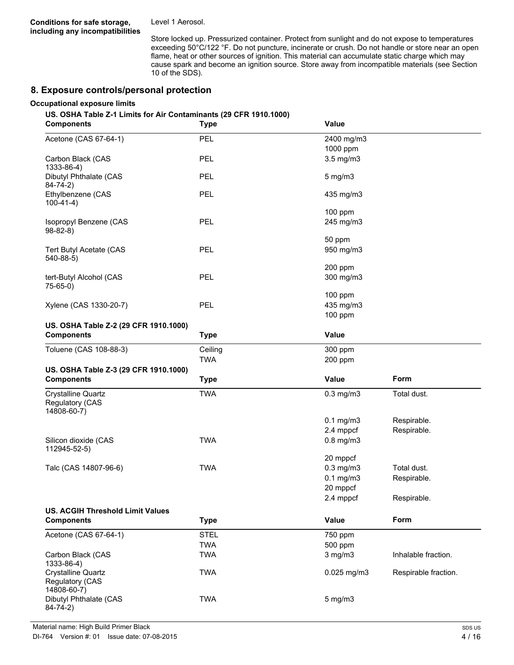Level 1 Aerosol.

Store locked up. Pressurized container. Protect from sunlight and do not expose to temperatures exceeding 50°C/122 °F. Do not puncture, incinerate or crush. Do not handle or store near an open flame, heat or other sources of ignition. This material can accumulate static charge which may cause spark and become an ignition source. Store away from incompatible materials (see Section 10 of the SDS).

### **8. Exposure controls/personal protection**

#### **Occupational exposure limits**

#### **US. OSHA Table Z-1 Limits for Air Contaminants (29 CFR 1910.1000)**

| <b>Components</b>                                           | <b>Type</b> | Value          |                      |
|-------------------------------------------------------------|-------------|----------------|----------------------|
| Acetone (CAS 67-64-1)                                       | PEL         | 2400 mg/m3     |                      |
|                                                             |             | 1000 ppm       |                      |
| Carbon Black (CAS<br>1333-86-4)                             | PEL         | 3.5 mg/m3      |                      |
| Dibutyl Phthalate (CAS<br>$84 - 74 - 2)$                    | <b>PEL</b>  | 5 mg/m3        |                      |
| Ethylbenzene (CAS<br>$100-41-4)$                            | PEL         | 435 mg/m3      |                      |
|                                                             |             | 100 ppm        |                      |
| Isopropyl Benzene (CAS<br>$98 - 82 - 8$                     | <b>PEL</b>  | 245 mg/m3      |                      |
|                                                             |             | 50 ppm         |                      |
| Tert Butyl Acetate (CAS<br>540-88-5)                        | PEL         | 950 mg/m3      |                      |
|                                                             |             | 200 ppm        |                      |
| tert-Butyl Alcohol (CAS<br>$75-65-0)$                       | <b>PEL</b>  | 300 mg/m3      |                      |
|                                                             |             | 100 ppm        |                      |
| Xylene (CAS 1330-20-7)                                      | PEL         | 435 mg/m3      |                      |
|                                                             |             | 100 ppm        |                      |
| US. OSHA Table Z-2 (29 CFR 1910.1000)                       |             |                |                      |
| <b>Components</b>                                           | <b>Type</b> | Value          |                      |
| Toluene (CAS 108-88-3)                                      | Ceiling     | 300 ppm        |                      |
|                                                             | <b>TWA</b>  | 200 ppm        |                      |
| US. OSHA Table Z-3 (29 CFR 1910.1000)                       |             |                |                      |
| <b>Components</b>                                           | <b>Type</b> | Value          | Form                 |
| <b>Crystalline Quartz</b><br>Regulatory (CAS<br>14808-60-7) | <b>TWA</b>  | $0.3$ mg/m $3$ | Total dust.          |
|                                                             |             | $0.1$ mg/m $3$ | Respirable.          |
|                                                             |             | 2.4 mppcf      | Respirable.          |
| Silicon dioxide (CAS<br>112945-52-5)                        | <b>TWA</b>  | $0.8$ mg/m $3$ |                      |
|                                                             |             | 20 mppcf       |                      |
| Talc (CAS 14807-96-6)                                       | <b>TWA</b>  | $0.3$ mg/m $3$ | Total dust.          |
|                                                             |             | $0.1$ mg/m $3$ | Respirable.          |
|                                                             |             | 20 mppcf       |                      |
|                                                             |             | 2.4 mppcf      | Respirable.          |
| <b>US. ACGIH Threshold Limit Values</b>                     |             |                |                      |
| <b>Components</b>                                           | <b>Type</b> | Value          | Form                 |
| Acetone (CAS 67-64-1)                                       |             |                |                      |
|                                                             | <b>STEL</b> | 750 ppm        |                      |
|                                                             | <b>TWA</b>  | 500 ppm        |                      |
| Carbon Black (CAS<br>1333-86-4)                             | <b>TWA</b>  | 3 mg/m3        | Inhalable fraction.  |
| Crystalline Quartz<br>Regulatory (CAS<br>14808-60-7)        | <b>TWA</b>  | 0.025 mg/m3    | Respirable fraction. |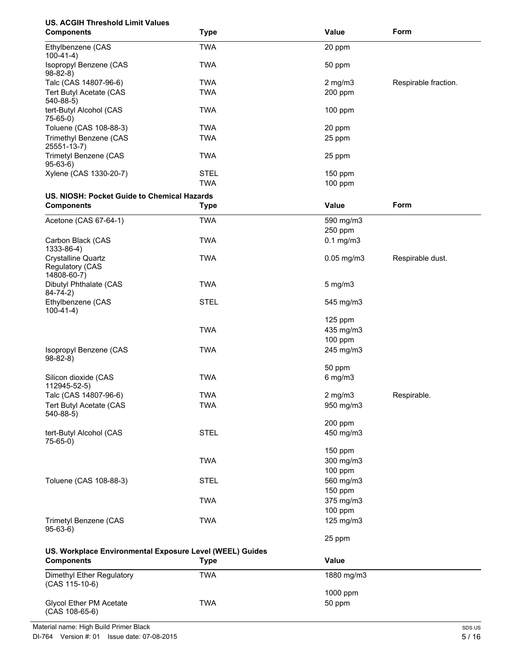| <b>US. ACGIH Threshold Limit Values</b>                                       |             |                      |                      |
|-------------------------------------------------------------------------------|-------------|----------------------|----------------------|
| <b>Components</b>                                                             | <b>Type</b> | Value                | Form                 |
| Ethylbenzene (CAS<br>$100-41-4)$                                              | <b>TWA</b>  | 20 ppm               |                      |
| Isopropyl Benzene (CAS<br>$98 - 82 - 8$                                       | <b>TWA</b>  | 50 ppm               |                      |
| Talc (CAS 14807-96-6)                                                         | <b>TWA</b>  | $2$ mg/m $3$         | Respirable fraction. |
| Tert Butyl Acetate (CAS<br>540-88-5)                                          | <b>TWA</b>  | 200 ppm              |                      |
| tert-Butyl Alcohol (CAS<br>$75-65-0)$                                         | <b>TWA</b>  | 100 ppm              |                      |
| Toluene (CAS 108-88-3)                                                        | <b>TWA</b>  | 20 ppm               |                      |
| Trimethyl Benzene (CAS<br>25551-13-7)                                         | <b>TWA</b>  | 25 ppm               |                      |
| Trimetyl Benzene (CAS<br>$95-63-6$                                            | <b>TWA</b>  | 25 ppm               |                      |
| Xylene (CAS 1330-20-7)                                                        | <b>STEL</b> | 150 ppm              |                      |
|                                                                               | <b>TWA</b>  | 100 ppm              |                      |
| US. NIOSH: Pocket Guide to Chemical Hazards                                   |             |                      |                      |
| <b>Components</b>                                                             | <b>Type</b> | Value                | Form                 |
| Acetone (CAS 67-64-1)                                                         | <b>TWA</b>  | 590 mg/m3            |                      |
|                                                                               |             | 250 ppm              |                      |
| Carbon Black (CAS<br>1333-86-4)                                               | <b>TWA</b>  | $0.1$ mg/m $3$       |                      |
| <b>Crystalline Quartz</b><br><b>Regulatory (CAS</b><br>14808-60-7)            | <b>TWA</b>  | $0.05$ mg/m $3$      | Respirable dust.     |
| Dibutyl Phthalate (CAS<br>$84 - 74 - 2)$                                      | <b>TWA</b>  | $5 \text{ mg/m}$     |                      |
| Ethylbenzene (CAS<br>$100-41-4)$                                              | <b>STEL</b> | 545 mg/m3            |                      |
|                                                                               |             | $125$ ppm            |                      |
|                                                                               | <b>TWA</b>  | 435 mg/m3            |                      |
|                                                                               |             | 100 ppm              |                      |
| Isopropyl Benzene (CAS<br>$98-82-8$                                           | <b>TWA</b>  | 245 mg/m3            |                      |
| Silicon dioxide (CAS                                                          | <b>TWA</b>  | 50 ppm<br>6 mg/m3    |                      |
| 112945-52-5)                                                                  |             |                      |                      |
| Talc (CAS 14807-96-6)                                                         | <b>TWA</b>  | $2$ mg/m $3$         | Respirable.          |
| Tert Butyl Acetate (CAS<br>540-88-5)                                          | <b>TWA</b>  | 950 mg/m3            |                      |
|                                                                               |             | 200 ppm              |                      |
| tert-Butyl Alcohol (CAS<br>75-65-0)                                           | <b>STEL</b> | 450 mg/m3            |                      |
|                                                                               |             | 150 ppm              |                      |
|                                                                               | <b>TWA</b>  | 300 mg/m3            |                      |
|                                                                               |             | 100 ppm              |                      |
| Toluene (CAS 108-88-3)                                                        | <b>STEL</b> | 560 mg/m3            |                      |
|                                                                               |             | 150 ppm              |                      |
|                                                                               | <b>TWA</b>  | 375 mg/m3            |                      |
| <b>Trimetyl Benzene (CAS</b>                                                  | <b>TWA</b>  | 100 ppm<br>125 mg/m3 |                      |
| $95-63-6)$                                                                    |             |                      |                      |
|                                                                               |             | 25 ppm               |                      |
| US. Workplace Environmental Exposure Level (WEEL) Guides<br><b>Components</b> | <b>Type</b> | Value                |                      |
| Dimethyl Ether Regulatory                                                     | <b>TWA</b>  | 1880 mg/m3           |                      |
| (CAS 115-10-6)                                                                |             |                      |                      |
| <b>Glycol Ether PM Acetate</b>                                                | <b>TWA</b>  | 1000 ppm<br>50 ppm   |                      |
| (CAS 108-65-6)                                                                |             |                      |                      |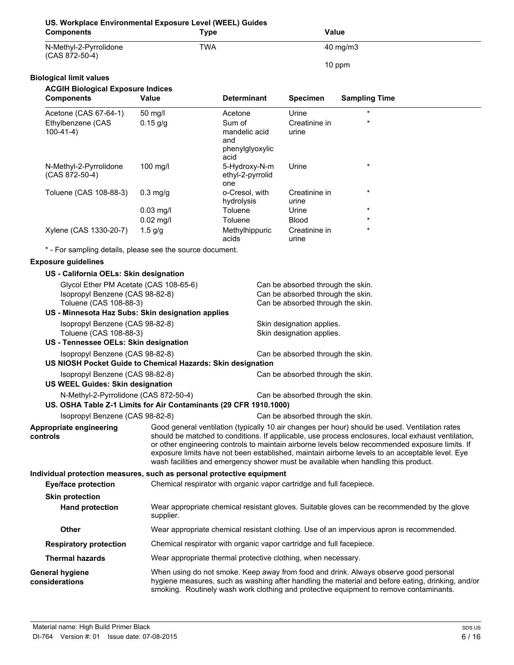| US. Workplace Environmental Exposure Level (WEEL) Guides<br><b>Components</b>                              | <b>Type</b>        |                                                                      | Value                                                                                                       |                                                                                                                                                                                                                                                                                                                                                                                                                                                                                                  |
|------------------------------------------------------------------------------------------------------------|--------------------|----------------------------------------------------------------------|-------------------------------------------------------------------------------------------------------------|--------------------------------------------------------------------------------------------------------------------------------------------------------------------------------------------------------------------------------------------------------------------------------------------------------------------------------------------------------------------------------------------------------------------------------------------------------------------------------------------------|
| N-Methyl-2-Pyrrolidone<br>(CAS 872-50-4)                                                                   | <b>TWA</b>         |                                                                      |                                                                                                             | 40 mg/m3                                                                                                                                                                                                                                                                                                                                                                                                                                                                                         |
|                                                                                                            |                    |                                                                      |                                                                                                             | 10 ppm                                                                                                                                                                                                                                                                                                                                                                                                                                                                                           |
| <b>Biological limit values</b>                                                                             |                    |                                                                      |                                                                                                             |                                                                                                                                                                                                                                                                                                                                                                                                                                                                                                  |
| <b>ACGIH Biological Exposure Indices</b><br><b>Components</b>                                              | Value              | <b>Determinant</b>                                                   | <b>Specimen</b>                                                                                             | <b>Sampling Time</b>                                                                                                                                                                                                                                                                                                                                                                                                                                                                             |
| Acetone (CAS 67-64-1)                                                                                      | 50 mg/l            | Acetone                                                              | Urine                                                                                                       |                                                                                                                                                                                                                                                                                                                                                                                                                                                                                                  |
| Ethylbenzene (CAS<br>$100-41-4)$                                                                           | $0.15$ g/g         | Sum of<br>mandelic acid<br>and<br>phenylglyoxylic<br>acid            | Creatinine in<br>urine                                                                                      |                                                                                                                                                                                                                                                                                                                                                                                                                                                                                                  |
| N-Methyl-2-Pyrrolidone<br>(CAS 872-50-4)                                                                   | 100 mg/l           | 5-Hydroxy-N-m<br>ethyl-2-pyrrolid<br>one                             | Urine                                                                                                       | $\star$                                                                                                                                                                                                                                                                                                                                                                                                                                                                                          |
| Toluene (CAS 108-88-3)                                                                                     | $0.3 \text{ mg/g}$ | o-Cresol, with                                                       | Creatinine in                                                                                               |                                                                                                                                                                                                                                                                                                                                                                                                                                                                                                  |
|                                                                                                            |                    | hydrolysis                                                           | urine                                                                                                       |                                                                                                                                                                                                                                                                                                                                                                                                                                                                                                  |
|                                                                                                            | $0.03$ mg/l        | Toluene                                                              | Urine                                                                                                       |                                                                                                                                                                                                                                                                                                                                                                                                                                                                                                  |
|                                                                                                            | $0.02$ mg/l        | Toluene                                                              | <b>Blood</b>                                                                                                |                                                                                                                                                                                                                                                                                                                                                                                                                                                                                                  |
| Xylene (CAS 1330-20-7)                                                                                     | $1.5$ g/g          | Methylhippuric<br>acids                                              | Creatinine in<br>urine                                                                                      |                                                                                                                                                                                                                                                                                                                                                                                                                                                                                                  |
| * - For sampling details, please see the source document.                                                  |                    |                                                                      |                                                                                                             |                                                                                                                                                                                                                                                                                                                                                                                                                                                                                                  |
| <b>Exposure guidelines</b>                                                                                 |                    |                                                                      |                                                                                                             |                                                                                                                                                                                                                                                                                                                                                                                                                                                                                                  |
| US - California OELs: Skin designation                                                                     |                    |                                                                      |                                                                                                             |                                                                                                                                                                                                                                                                                                                                                                                                                                                                                                  |
| Glycol Ether PM Acetate (CAS 108-65-6)<br>Isopropyl Benzene (CAS 98-82-8)<br>Toluene (CAS 108-88-3)        |                    |                                                                      | Can be absorbed through the skin.<br>Can be absorbed through the skin.<br>Can be absorbed through the skin. |                                                                                                                                                                                                                                                                                                                                                                                                                                                                                                  |
| US - Minnesota Haz Subs: Skin designation applies                                                          |                    |                                                                      |                                                                                                             |                                                                                                                                                                                                                                                                                                                                                                                                                                                                                                  |
| Isopropyl Benzene (CAS 98-82-8)<br>Toluene (CAS 108-88-3)<br>US - Tennessee OELs: Skin designation         |                    |                                                                      | Skin designation applies.<br>Skin designation applies.                                                      |                                                                                                                                                                                                                                                                                                                                                                                                                                                                                                  |
| Isopropyl Benzene (CAS 98-82-8)                                                                            |                    |                                                                      | Can be absorbed through the skin.                                                                           |                                                                                                                                                                                                                                                                                                                                                                                                                                                                                                  |
| US NIOSH Pocket Guide to Chemical Hazards: Skin designation                                                |                    |                                                                      |                                                                                                             |                                                                                                                                                                                                                                                                                                                                                                                                                                                                                                  |
| Isopropyl Benzene (CAS 98-82-8)<br><b>US WEEL Guides: Skin designation</b>                                 |                    |                                                                      | Can be absorbed through the skin.                                                                           |                                                                                                                                                                                                                                                                                                                                                                                                                                                                                                  |
| N-Methyl-2-Pyrrolidone (CAS 872-50-4)<br>US. OSHA Table Z-1 Limits for Air Contaminants (29 CFR 1910.1000) |                    |                                                                      | Can be absorbed through the skin.                                                                           |                                                                                                                                                                                                                                                                                                                                                                                                                                                                                                  |
| Isopropyl Benzene (CAS 98-82-8)                                                                            |                    |                                                                      | Can be absorbed through the skin.                                                                           |                                                                                                                                                                                                                                                                                                                                                                                                                                                                                                  |
| Appropriate engineering<br>controls                                                                        |                    |                                                                      |                                                                                                             | Good general ventilation (typically 10 air changes per hour) should be used. Ventilation rates<br>should be matched to conditions. If applicable, use process enclosures, local exhaust ventilation,<br>or other engineering controls to maintain airborne levels below recommended exposure limits. If<br>exposure limits have not been established, maintain airborne levels to an acceptable level. Eye<br>wash facilities and emergency shower must be available when handling this product. |
| Individual protection measures, such as personal protective equipment                                      |                    |                                                                      |                                                                                                             |                                                                                                                                                                                                                                                                                                                                                                                                                                                                                                  |
| <b>Eye/face protection</b>                                                                                 |                    | Chemical respirator with organic vapor cartridge and full facepiece. |                                                                                                             |                                                                                                                                                                                                                                                                                                                                                                                                                                                                                                  |
| <b>Skin protection</b>                                                                                     |                    |                                                                      |                                                                                                             |                                                                                                                                                                                                                                                                                                                                                                                                                                                                                                  |
| <b>Hand protection</b>                                                                                     | supplier.          |                                                                      |                                                                                                             | Wear appropriate chemical resistant gloves. Suitable gloves can be recommended by the glove                                                                                                                                                                                                                                                                                                                                                                                                      |
| Other                                                                                                      |                    |                                                                      |                                                                                                             | Wear appropriate chemical resistant clothing. Use of an impervious apron is recommended.                                                                                                                                                                                                                                                                                                                                                                                                         |
| <b>Respiratory protection</b>                                                                              |                    | Chemical respirator with organic vapor cartridge and full facepiece. |                                                                                                             |                                                                                                                                                                                                                                                                                                                                                                                                                                                                                                  |
| <b>Thermal hazards</b>                                                                                     |                    | Wear appropriate thermal protective clothing, when necessary.        |                                                                                                             |                                                                                                                                                                                                                                                                                                                                                                                                                                                                                                  |
| General hygiene<br>considerations                                                                          |                    |                                                                      |                                                                                                             | When using do not smoke. Keep away from food and drink. Always observe good personal<br>hygiene measures, such as washing after handling the material and before eating, drinking, and/or<br>smoking. Routinely wash work clothing and protective equipment to remove contaminants.                                                                                                                                                                                                              |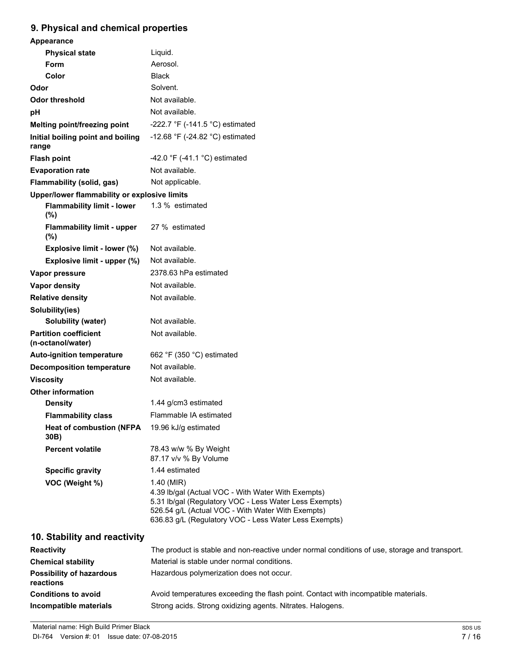### **9. Physical and chemical properties**

| <u> nyaloarana ononnoarpropernoa</u>              |                                                                                                                                                                                                                                          |
|---------------------------------------------------|------------------------------------------------------------------------------------------------------------------------------------------------------------------------------------------------------------------------------------------|
| Appearance                                        |                                                                                                                                                                                                                                          |
| <b>Physical state</b>                             | Liquid.                                                                                                                                                                                                                                  |
| Form                                              | Aerosol.                                                                                                                                                                                                                                 |
| Color                                             | <b>Black</b>                                                                                                                                                                                                                             |
| Odor                                              | Solvent.                                                                                                                                                                                                                                 |
| <b>Odor threshold</b>                             | Not available.                                                                                                                                                                                                                           |
| рH                                                | Not available.                                                                                                                                                                                                                           |
| Melting point/freezing point                      | -222.7 °F (-141.5 °C) estimated                                                                                                                                                                                                          |
| Initial boiling point and boiling<br>range        | -12.68 °F (-24.82 °C) estimated                                                                                                                                                                                                          |
| <b>Flash point</b>                                | -42.0 °F (-41.1 °C) estimated                                                                                                                                                                                                            |
| <b>Evaporation rate</b>                           | Not available.                                                                                                                                                                                                                           |
| Flammability (solid, gas)                         | Not applicable.                                                                                                                                                                                                                          |
| Upper/lower flammability or explosive limits      |                                                                                                                                                                                                                                          |
| <b>Flammability limit - lower</b><br>(%)          | 1.3 % estimated                                                                                                                                                                                                                          |
| <b>Flammability limit - upper</b><br>(%)          | 27 % estimated                                                                                                                                                                                                                           |
| Explosive limit - lower (%)                       | Not available.                                                                                                                                                                                                                           |
| Explosive limit - upper (%)                       | Not available.                                                                                                                                                                                                                           |
| Vapor pressure                                    | 2378.63 hPa estimated                                                                                                                                                                                                                    |
| Vapor density                                     | Not available.                                                                                                                                                                                                                           |
| <b>Relative density</b>                           | Not available.                                                                                                                                                                                                                           |
| Solubility(ies)                                   |                                                                                                                                                                                                                                          |
| <b>Solubility (water)</b>                         | Not available.                                                                                                                                                                                                                           |
| <b>Partition coefficient</b><br>(n-octanol/water) | Not available.                                                                                                                                                                                                                           |
| <b>Auto-ignition temperature</b>                  | 662 °F (350 °C) estimated                                                                                                                                                                                                                |
| <b>Decomposition temperature</b>                  | Not available.                                                                                                                                                                                                                           |
| <b>Viscosity</b>                                  | Not available.                                                                                                                                                                                                                           |
| <b>Other information</b>                          |                                                                                                                                                                                                                                          |
| <b>Density</b>                                    | 1.44 g/cm3 estimated                                                                                                                                                                                                                     |
| <b>Flammability class</b>                         | Flammable IA estimated                                                                                                                                                                                                                   |
| <b>Heat of combustion (NFPA</b><br>30B)           | 19.96 kJ/g estimated                                                                                                                                                                                                                     |
| <b>Percent volatile</b>                           | 78.43 w/w % By Weight<br>87.17 v/v % By Volume                                                                                                                                                                                           |
| <b>Specific gravity</b>                           | 1.44 estimated                                                                                                                                                                                                                           |
| VOC (Weight %)                                    | 1.40 (MIR)<br>4.39 lb/gal (Actual VOC - With Water With Exempts)<br>5.31 Ib/gal (Regulatory VOC - Less Water Less Exempts)<br>526.54 g/L (Actual VOC - With Water With Exempts)<br>636.83 g/L (Regulatory VOC - Less Water Less Exempts) |
| 10. Stability and reactivity                      |                                                                                                                                                                                                                                          |
| <b>Reactivity</b>                                 | The product is stable and non-reactive under normal conditions of use, storage and transport.                                                                                                                                            |
| <b>Chemical stability</b>                         | Material is stable under normal conditions.                                                                                                                                                                                              |
| <b>Possibility of hazardous</b>                   | Hazardous polymerization does not occur.                                                                                                                                                                                                 |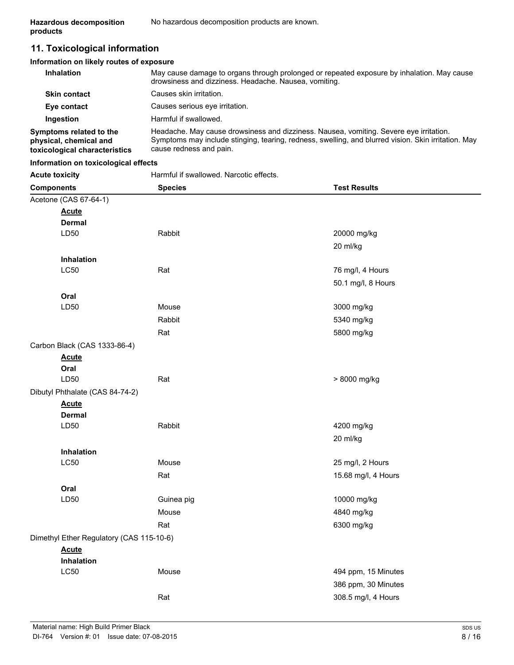### **11. Toxicological information**

#### **Information on likely routes of exposure**

| <b>Inhalation</b>                                                                  | May cause damage to organs through prolonged or repeated exposure by inhalation. May cause<br>drowsiness and dizziness. Headache. Nausea, vomiting.                                                                      |
|------------------------------------------------------------------------------------|--------------------------------------------------------------------------------------------------------------------------------------------------------------------------------------------------------------------------|
| <b>Skin contact</b>                                                                | Causes skin irritation.                                                                                                                                                                                                  |
| Eye contact                                                                        | Causes serious eye irritation.                                                                                                                                                                                           |
| Ingestion                                                                          | Harmful if swallowed.                                                                                                                                                                                                    |
| Symptoms related to the<br>physical, chemical and<br>toxicological characteristics | Headache. May cause drowsiness and dizziness. Nausea, vomiting. Severe eye irritation.<br>Symptoms may include stinging, tearing, redness, swelling, and blurred vision. Skin irritation. May<br>cause redness and pain. |

#### **Information on toxicological effects**

Acute toxicity **Acute is a Harmful if swallowed. Narcotic effects.** 

| <b>Components</b>                        | <b>Species</b> | <b>Test Results</b> |
|------------------------------------------|----------------|---------------------|
| Acetone (CAS 67-64-1)                    |                |                     |
| <b>Acute</b>                             |                |                     |
| <b>Dermal</b>                            |                |                     |
| LD50                                     | Rabbit         | 20000 mg/kg         |
|                                          |                | 20 ml/kg            |
| Inhalation                               |                |                     |
| <b>LC50</b>                              | Rat            | 76 mg/l, 4 Hours    |
|                                          |                | 50.1 mg/l, 8 Hours  |
| Oral                                     |                |                     |
| LD50                                     | Mouse          | 3000 mg/kg          |
|                                          | Rabbit         | 5340 mg/kg          |
|                                          | Rat            | 5800 mg/kg          |
| Carbon Black (CAS 1333-86-4)             |                |                     |
| <b>Acute</b>                             |                |                     |
| Oral                                     |                |                     |
| LD50                                     | Rat            | > 8000 mg/kg        |
| Dibutyl Phthalate (CAS 84-74-2)          |                |                     |
| <b>Acute</b>                             |                |                     |
| <b>Dermal</b>                            |                |                     |
| LD50                                     | Rabbit         | 4200 mg/kg          |
|                                          |                | 20 ml/kg            |
| Inhalation                               |                |                     |
| <b>LC50</b>                              | Mouse          | 25 mg/l, 2 Hours    |
|                                          | Rat            | 15.68 mg/l, 4 Hours |
| Oral                                     |                |                     |
| LD50                                     | Guinea pig     | 10000 mg/kg         |
|                                          | Mouse          | 4840 mg/kg          |
|                                          | Rat            | 6300 mg/kg          |
| Dimethyl Ether Regulatory (CAS 115-10-6) |                |                     |
| <b>Acute</b>                             |                |                     |
| Inhalation                               |                |                     |
| <b>LC50</b>                              | Mouse          | 494 ppm, 15 Minutes |
|                                          |                | 386 ppm, 30 Minutes |
|                                          | Rat            | 308.5 mg/l, 4 Hours |
|                                          |                |                     |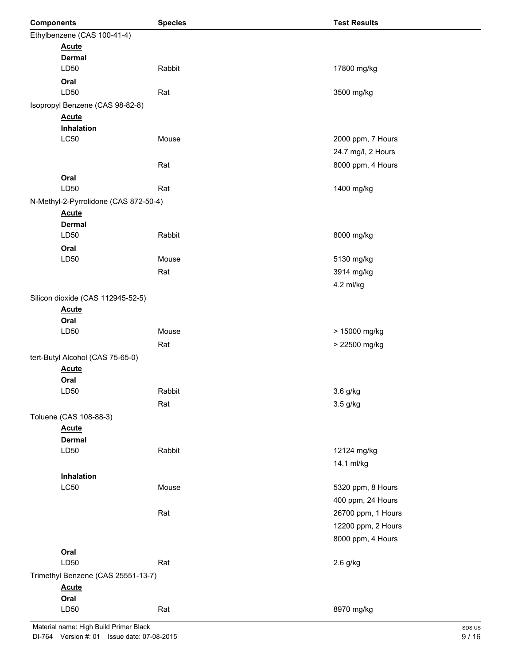| <b>Components</b> |                                       | <b>Species</b> | <b>Test Results</b> |
|-------------------|---------------------------------------|----------------|---------------------|
|                   | Ethylbenzene (CAS 100-41-4)           |                |                     |
|                   | <b>Acute</b>                          |                |                     |
|                   | <b>Dermal</b>                         |                |                     |
|                   | LD50                                  | Rabbit         | 17800 mg/kg         |
|                   | Oral                                  |                |                     |
|                   | LD50                                  | Rat            | 3500 mg/kg          |
|                   | Isopropyl Benzene (CAS 98-82-8)       |                |                     |
|                   | <b>Acute</b>                          |                |                     |
|                   | Inhalation                            |                |                     |
|                   | <b>LC50</b>                           | Mouse          | 2000 ppm, 7 Hours   |
|                   |                                       |                | 24.7 mg/l, 2 Hours  |
|                   |                                       | Rat            | 8000 ppm, 4 Hours   |
|                   | Oral                                  |                |                     |
|                   | LD50                                  | Rat            | 1400 mg/kg          |
|                   | N-Methyl-2-Pyrrolidone (CAS 872-50-4) |                |                     |
|                   | <b>Acute</b>                          |                |                     |
|                   | <b>Dermal</b>                         |                |                     |
|                   | LD50                                  | Rabbit         | 8000 mg/kg          |
|                   | Oral                                  |                |                     |
|                   | LD50                                  | Mouse          | 5130 mg/kg          |
|                   |                                       | Rat            | 3914 mg/kg          |
|                   |                                       |                | 4.2 ml/kg           |
|                   | Silicon dioxide (CAS 112945-52-5)     |                |                     |
|                   | <b>Acute</b>                          |                |                     |
|                   | Oral                                  |                |                     |
|                   | LD50                                  | Mouse          | > 15000 mg/kg       |
|                   |                                       | Rat            | > 22500 mg/kg       |
|                   | tert-Butyl Alcohol (CAS 75-65-0)      |                |                     |
|                   | <b>Acute</b>                          |                |                     |
|                   | Oral                                  |                |                     |
|                   | LD50                                  | Rabbit         | 3.6 g/kg            |
|                   |                                       | Rat            | 3.5 g/kg            |
|                   | Toluene (CAS 108-88-3)                |                |                     |
|                   | <b>Acute</b>                          |                |                     |
|                   | <b>Dermal</b>                         |                |                     |
|                   | LD50                                  | Rabbit         | 12124 mg/kg         |
|                   |                                       |                | 14.1 ml/kg          |
|                   | Inhalation                            |                |                     |
|                   | <b>LC50</b>                           | Mouse          | 5320 ppm, 8 Hours   |
|                   |                                       |                | 400 ppm, 24 Hours   |
|                   |                                       | Rat            | 26700 ppm, 1 Hours  |
|                   |                                       |                | 12200 ppm, 2 Hours  |
|                   |                                       |                | 8000 ppm, 4 Hours   |
|                   | Oral                                  |                |                     |
|                   | LD50                                  | Rat            | 2.6 g/kg            |
|                   | Trimethyl Benzene (CAS 25551-13-7)    |                |                     |
|                   | <b>Acute</b>                          |                |                     |
|                   | Oral                                  |                |                     |
|                   | LD50                                  | Rat            | 8970 mg/kg          |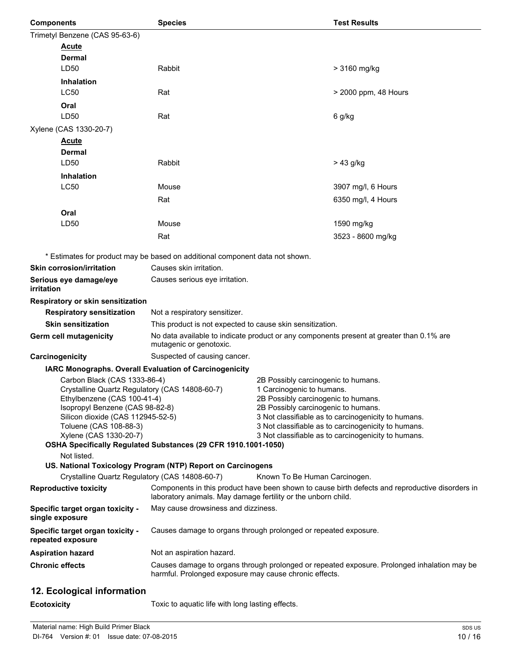| <b>Components</b>                                                             | <b>Species</b>                                                               |                                                                            | <b>Test Results</b>                                                                             |
|-------------------------------------------------------------------------------|------------------------------------------------------------------------------|----------------------------------------------------------------------------|-------------------------------------------------------------------------------------------------|
| Trimetyl Benzene (CAS 95-63-6)                                                |                                                                              |                                                                            |                                                                                                 |
| <b>Acute</b>                                                                  |                                                                              |                                                                            |                                                                                                 |
| Dermal                                                                        |                                                                              |                                                                            |                                                                                                 |
| LD50                                                                          | Rabbit                                                                       |                                                                            | > 3160 mg/kg                                                                                    |
| Inhalation                                                                    |                                                                              |                                                                            |                                                                                                 |
| <b>LC50</b>                                                                   | Rat                                                                          |                                                                            | > 2000 ppm, 48 Hours                                                                            |
| Oral                                                                          |                                                                              |                                                                            |                                                                                                 |
| LD50                                                                          | Rat                                                                          |                                                                            | 6 g/kg                                                                                          |
| Xylene (CAS 1330-20-7)                                                        |                                                                              |                                                                            |                                                                                                 |
| <b>Acute</b>                                                                  |                                                                              |                                                                            |                                                                                                 |
| Dermal                                                                        |                                                                              |                                                                            |                                                                                                 |
| LD50                                                                          | Rabbit                                                                       |                                                                            | > 43 g/kg                                                                                       |
| <b>Inhalation</b>                                                             |                                                                              |                                                                            |                                                                                                 |
| <b>LC50</b>                                                                   | Mouse                                                                        |                                                                            | 3907 mg/l, 6 Hours                                                                              |
|                                                                               | Rat                                                                          |                                                                            | 6350 mg/l, 4 Hours                                                                              |
| Oral                                                                          |                                                                              |                                                                            |                                                                                                 |
| LD50                                                                          | Mouse                                                                        |                                                                            | 1590 mg/kg                                                                                      |
|                                                                               | Rat                                                                          |                                                                            | 3523 - 8600 mg/kg                                                                               |
|                                                                               |                                                                              |                                                                            |                                                                                                 |
|                                                                               | * Estimates for product may be based on additional component data not shown. |                                                                            |                                                                                                 |
| <b>Skin corrosion/irritation</b>                                              | Causes skin irritation.                                                      |                                                                            |                                                                                                 |
| Serious eye damage/eye<br>irritation                                          | Causes serious eye irritation.                                               |                                                                            |                                                                                                 |
| Respiratory or skin sensitization                                             |                                                                              |                                                                            |                                                                                                 |
| <b>Respiratory sensitization</b>                                              | Not a respiratory sensitizer.                                                |                                                                            |                                                                                                 |
| <b>Skin sensitization</b>                                                     | This product is not expected to cause skin sensitization.                    |                                                                            |                                                                                                 |
| Germ cell mutagenicity                                                        | mutagenic or genotoxic.                                                      |                                                                            | No data available to indicate product or any components present at greater than 0.1% are        |
| Carcinogenicity                                                               | Suspected of causing cancer.                                                 |                                                                            |                                                                                                 |
|                                                                               | IARC Monographs. Overall Evaluation of Carcinogenicity                       |                                                                            |                                                                                                 |
| Carbon Black (CAS 1333-86-4)                                                  |                                                                              | 2B Possibly carcinogenic to humans.                                        |                                                                                                 |
| Crystalline Quartz Regulatory (CAS 14808-60-7)<br>Ethylbenzene (CAS 100-41-4) |                                                                              | 1 Carcinogenic to humans.                                                  |                                                                                                 |
| Isopropyl Benzene (CAS 98-82-8)                                               |                                                                              | 2B Possibly carcinogenic to humans.<br>2B Possibly carcinogenic to humans. |                                                                                                 |
| Silicon dioxide (CAS 112945-52-5)                                             |                                                                              |                                                                            | 3 Not classifiable as to carcinogenicity to humans.                                             |
| Toluene (CAS 108-88-3)                                                        |                                                                              |                                                                            | 3 Not classifiable as to carcinogenicity to humans.                                             |
| Xylene (CAS 1330-20-7)                                                        | OSHA Specifically Regulated Substances (29 CFR 1910.1001-1050)               |                                                                            | 3 Not classifiable as to carcinogenicity to humans.                                             |
| Not listed.                                                                   |                                                                              |                                                                            |                                                                                                 |
|                                                                               | US. National Toxicology Program (NTP) Report on Carcinogens                  |                                                                            |                                                                                                 |
| Crystalline Quartz Regulatory (CAS 14808-60-7)                                |                                                                              | Known To Be Human Carcinogen.                                              |                                                                                                 |
| <b>Reproductive toxicity</b>                                                  | laboratory animals. May damage fertility or the unborn child.                |                                                                            | Components in this product have been shown to cause birth defects and reproductive disorders in |
| Specific target organ toxicity -<br>single exposure                           | May cause drowsiness and dizziness.                                          |                                                                            |                                                                                                 |
| Specific target organ toxicity -<br>repeated exposure                         | Causes damage to organs through prolonged or repeated exposure.              |                                                                            |                                                                                                 |
| <b>Aspiration hazard</b>                                                      | Not an aspiration hazard.                                                    |                                                                            |                                                                                                 |
| <b>Chronic effects</b>                                                        |                                                                              |                                                                            | Causes damage to organs through prolonged or repeated exposure. Prolonged inhalation may be     |
|                                                                               | harmful. Prolonged exposure may cause chronic effects.                       |                                                                            |                                                                                                 |
| 12. Ecological information                                                    |                                                                              |                                                                            |                                                                                                 |

**Ecotoxicity Example 20** Toxic to aquatic life with long lasting effects.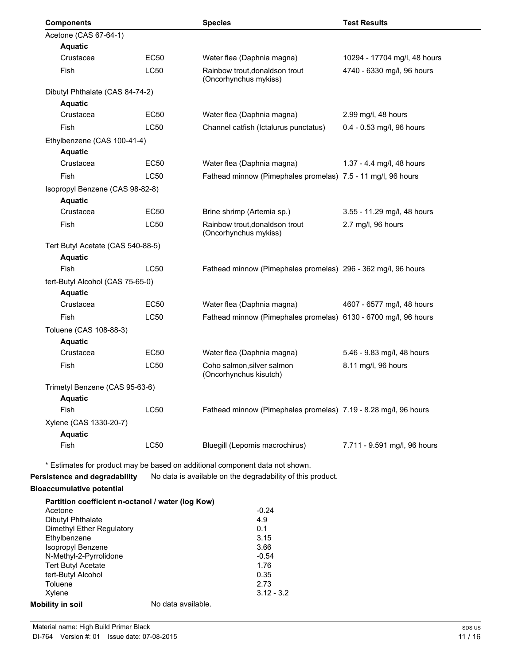| <b>Components</b>                                                 |                    | <b>Species</b>                                                                     | <b>Test Results</b>                               |
|-------------------------------------------------------------------|--------------------|------------------------------------------------------------------------------------|---------------------------------------------------|
| Acetone (CAS 67-64-1)                                             |                    |                                                                                    |                                                   |
| <b>Aquatic</b>                                                    |                    |                                                                                    |                                                   |
| Crustacea                                                         | EC50               | Water flea (Daphnia magna)                                                         | 10294 - 17704 mg/l, 48 hours                      |
| Fish                                                              | <b>LC50</b>        | Rainbow trout, donaldson trout<br>(Oncorhynchus mykiss)                            | 4740 - 6330 mg/l, 96 hours                        |
| Dibutyl Phthalate (CAS 84-74-2)                                   |                    |                                                                                    |                                                   |
| <b>Aquatic</b>                                                    |                    |                                                                                    |                                                   |
| Crustacea                                                         | EC50               | Water flea (Daphnia magna)                                                         | 2.99 mg/l, 48 hours                               |
| Fish                                                              | <b>LC50</b>        | Channel catfish (Ictalurus punctatus)                                              | 0.4 - 0.53 mg/l, 96 hours                         |
| Ethylbenzene (CAS 100-41-4)                                       |                    |                                                                                    |                                                   |
| <b>Aquatic</b>                                                    |                    |                                                                                    |                                                   |
| Crustacea                                                         | <b>EC50</b>        | Water flea (Daphnia magna)                                                         | 1.37 - 4.4 mg/l, 48 hours                         |
| Fish                                                              | <b>LC50</b>        | Fathead minnow (Pimephales promelas) 7.5 - 11 mg/l, 96 hours                       |                                                   |
| Isopropyl Benzene (CAS 98-82-8)<br><b>Aquatic</b>                 |                    |                                                                                    |                                                   |
| Crustacea                                                         | <b>EC50</b>        | Brine shrimp (Artemia sp.)                                                         | 3.55 - 11.29 mg/l, 48 hours                       |
| Fish                                                              | <b>LC50</b>        | Rainbow trout, donaldson trout<br>(Oncorhynchus mykiss)                            | 2.7 mg/l, 96 hours                                |
| Tert Butyl Acetate (CAS 540-88-5)                                 |                    |                                                                                    |                                                   |
| <b>Aquatic</b><br>Fish                                            | <b>LC50</b>        | Fathead minnow (Pimephales promelas) 296 - 362 mg/l, 96 hours                      |                                                   |
|                                                                   |                    |                                                                                    |                                                   |
| tert-Butyl Alcohol (CAS 75-65-0)                                  |                    |                                                                                    |                                                   |
| <b>Aquatic</b><br>Crustacea                                       | EC50               | Water flea (Daphnia magna)                                                         | 4607 - 6577 mg/l, 48 hours                        |
| Fish                                                              | <b>LC50</b>        | Fathead minnow (Pimephales promelas) 6130 - 6700 mg/l, 96 hours                    |                                                   |
|                                                                   |                    |                                                                                    |                                                   |
| Toluene (CAS 108-88-3)                                            |                    |                                                                                    |                                                   |
| <b>Aquatic</b><br>Crustacea                                       | <b>EC50</b>        |                                                                                    |                                                   |
| Fish                                                              | <b>LC50</b>        | Water flea (Daphnia magna)<br>Coho salmon, silver salmon<br>(Oncorhynchus kisutch) | 5.46 - 9.83 mg/l, 48 hours<br>8.11 mg/l, 96 hours |
|                                                                   |                    |                                                                                    |                                                   |
| Trimetyl Benzene (CAS 95-63-6)                                    |                    |                                                                                    |                                                   |
| <b>Aquatic</b><br>Fish                                            | <b>LC50</b>        | Fathead minnow (Pimephales promelas) 7.19 - 8.28 mg/l, 96 hours                    |                                                   |
|                                                                   |                    |                                                                                    |                                                   |
| Xylene (CAS 1330-20-7)                                            |                    |                                                                                    |                                                   |
| <b>Aquatic</b><br>Fish                                            | <b>LC50</b>        | Bluegill (Lepomis macrochirus)                                                     | 7.711 - 9.591 mg/l, 96 hours                      |
|                                                                   |                    | * Estimates for product may be based on additional component data not shown.       |                                                   |
| Persistence and degradability<br><b>Bioaccumulative potential</b> |                    | No data is available on the degradability of this product.                         |                                                   |
| Partition coefficient n-octanol / water (log Kow)                 |                    |                                                                                    |                                                   |
| Acetone                                                           |                    | $-0.24$                                                                            |                                                   |
| <b>Dibutyl Phthalate</b>                                          |                    | 4.9<br>0.1                                                                         |                                                   |
| Dimethyl Ether Regulatory<br>Ethylbenzene                         |                    | 3.15                                                                               |                                                   |
| Isopropyl Benzene                                                 |                    | 3.66                                                                               |                                                   |
| N-Methyl-2-Pyrrolidone                                            |                    | $-0.54$                                                                            |                                                   |
| <b>Tert Butyl Acetate</b>                                         |                    | 1.76                                                                               |                                                   |
| tert-Butyl Alcohol<br>Toluene                                     |                    | 0.35<br>2.73                                                                       |                                                   |
| Xylene                                                            |                    | $3.12 - 3.2$                                                                       |                                                   |
| <b>Mobility in soil</b>                                           | No data available. |                                                                                    |                                                   |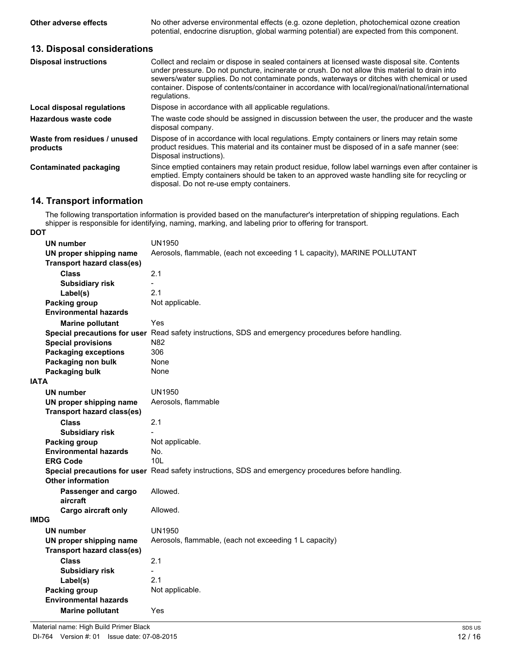**Other adverse effects** No other adverse environmental effects (e.g. ozone depletion, photochemical ozone creation potential, endocrine disruption, global warming potential) are expected from this component.

#### **13. Disposal considerations**

| <b>Disposal instructions</b>             | Collect and reclaim or dispose in sealed containers at licensed waste disposal site. Contents<br>under pressure. Do not puncture, incinerate or crush. Do not allow this material to drain into<br>sewers/water supplies. Do not contaminate ponds, waterways or ditches with chemical or used<br>container. Dispose of contents/container in accordance with local/regional/national/international<br>regulations. |
|------------------------------------------|---------------------------------------------------------------------------------------------------------------------------------------------------------------------------------------------------------------------------------------------------------------------------------------------------------------------------------------------------------------------------------------------------------------------|
| Local disposal regulations               | Dispose in accordance with all applicable regulations.                                                                                                                                                                                                                                                                                                                                                              |
| Hazardous waste code                     | The waste code should be assigned in discussion between the user, the producer and the waste<br>disposal company.                                                                                                                                                                                                                                                                                                   |
| Waste from residues / unused<br>products | Dispose of in accordance with local regulations. Empty containers or liners may retain some<br>product residues. This material and its container must be disposed of in a safe manner (see:<br>Disposal instructions).                                                                                                                                                                                              |
| <b>Contaminated packaging</b>            | Since emptied containers may retain product residue, follow label warnings even after container is<br>emptied. Empty containers should be taken to an approved waste handling site for recycling or<br>disposal. Do not re-use empty containers.                                                                                                                                                                    |

### **14. Transport information**

The following transportation information is provided based on the manufacturer's interpretation of shipping regulations. Each shipper is responsible for identifying, naming, marking, and labeling prior to offering for transport. **DOT**

| UN number                         | <b>UN1950</b>                                                                                        |
|-----------------------------------|------------------------------------------------------------------------------------------------------|
| UN proper shipping name           | Aerosols, flammable, (each not exceeding 1 L capacity), MARINE POLLUTANT                             |
| <b>Transport hazard class(es)</b> |                                                                                                      |
| <b>Class</b>                      | 2.1                                                                                                  |
| <b>Subsidiary risk</b>            | $\overline{\phantom{0}}$                                                                             |
| Label(s)                          | 2.1                                                                                                  |
| Packing group                     | Not applicable.                                                                                      |
| <b>Environmental hazards</b>      |                                                                                                      |
| <b>Marine pollutant</b>           | Yes                                                                                                  |
|                                   | Special precautions for user Read safety instructions, SDS and emergency procedures before handling. |
| <b>Special provisions</b>         | N82                                                                                                  |
| <b>Packaging exceptions</b>       | 306                                                                                                  |
| Packaging non bulk                | None                                                                                                 |
| <b>Packaging bulk</b>             | None                                                                                                 |
| IATA                              |                                                                                                      |
| UN number                         | UN1950                                                                                               |
| UN proper shipping name           | Aerosols, flammable                                                                                  |
| <b>Transport hazard class(es)</b> |                                                                                                      |
| <b>Class</b>                      | 2.1                                                                                                  |
| <b>Subsidiary risk</b>            |                                                                                                      |
| <b>Packing group</b>              | Not applicable.                                                                                      |
| <b>Environmental hazards</b>      | No.                                                                                                  |
| <b>ERG Code</b>                   | 10 <sub>L</sub>                                                                                      |
|                                   | Special precautions for user Read safety instructions, SDS and emergency procedures before handling. |
| <b>Other information</b>          |                                                                                                      |
| Passenger and cargo               | Allowed.                                                                                             |
| aircraft                          |                                                                                                      |
| Cargo aircraft only               | Allowed.                                                                                             |
| IMDG                              |                                                                                                      |
| UN number                         | <b>UN1950</b>                                                                                        |
| UN proper shipping name           | Aerosols, flammable, (each not exceeding 1 L capacity)                                               |
| Transport hazard class(es)        |                                                                                                      |
| Class                             | 2.1                                                                                                  |
| <b>Subsidiary risk</b>            |                                                                                                      |
| Label(s)                          | 2.1                                                                                                  |
| <b>Packing group</b>              | Not applicable.                                                                                      |
| <b>Environmental hazards</b>      |                                                                                                      |
| <b>Marine pollutant</b>           | Yes                                                                                                  |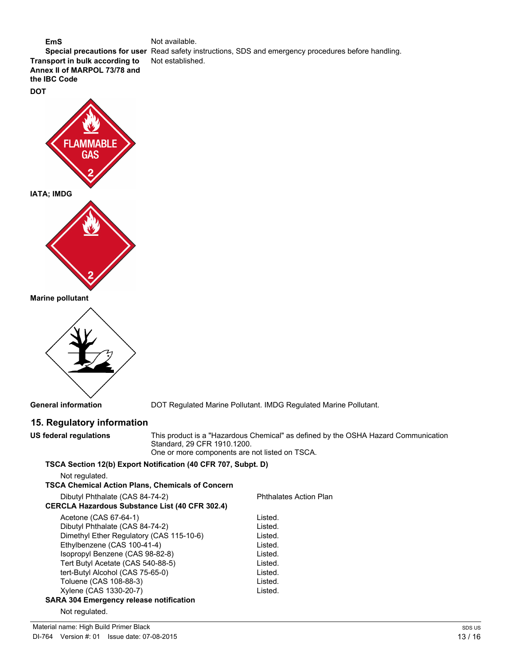#### **EmS** Not available. **Special precautions for user** Read safety instructions, SDS and emergency procedures before handling. **Transport in bulk according to** Not established. **Annex II of MARPOL 73/78 and the IBC Code**





**Marine pollutant**



**General information** DOT Regulated Marine Pollutant. IMDG Regulated Marine Pollutant.

### **15. Regulatory information**

**US federal regulations** This product is a "Hazardous Chemical" as defined by the OSHA Hazard Communication Standard, 29 CFR 1910.1200.

One or more components are not listed on TSCA.

### **TSCA Section 12(b) Export Notification (40 CFR 707, Subpt. D)**

Not regulated.

| TSCA Chemical Action Plans, Chemicals of Concern |                               |
|--------------------------------------------------|-------------------------------|
| Dibutyl Phthalate (CAS 84-74-2)                  | <b>Phthalates Action Plan</b> |
| CERCLA Hazardous Substance List (40 CFR 302.4)   |                               |
| Acetone (CAS 67-64-1)                            | Listed.                       |
| Dibutyl Phthalate (CAS 84-74-2)                  | Listed.                       |
| Dimethyl Ether Regulatory (CAS 115-10-6)         | Listed.                       |
| Ethylbenzene (CAS 100-41-4)                      | Listed.                       |
| Isopropyl Benzene (CAS 98-82-8)                  | Listed.                       |
| Tert Butyl Acetate (CAS 540-88-5)                | Listed.                       |
| tert-Butyl Alcohol (CAS 75-65-0)                 | Listed.                       |
| Toluene (CAS 108-88-3)                           | Listed.                       |
| Xylene (CAS 1330-20-7)                           | Listed.                       |
| SARA 304 Emergency release notification          |                               |
| Not regulated.                                   |                               |

Material name: High Build Primer Black DI-764 Version #: 01 Issue date: 07-08-2015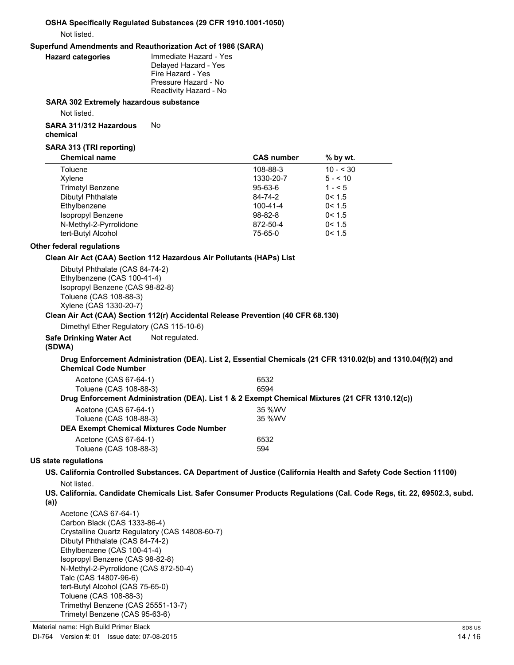#### **OSHA Specifically Regulated Substances (29 CFR 1910.1001-1050)** Not listed.

#### **Superfund Amendments and Reauthorization Act of 1986 (SARA)**

**Immediate Hazard - Yes** Delayed Hazard - Yes Fire Hazard - Yes Pressure Hazard - No Reactivity Hazard - No

#### **SARA 302 Extremely hazardous substance**

Not listed.

#### **SARA 311/312 Hazardous chemical** No

#### **SARA 313 (TRI reporting)**

| <b>Chemical name</b>    | <b>CAS number</b> | $%$ by wt.   |  |
|-------------------------|-------------------|--------------|--|
| Toluene                 | 108-88-3          | $10 - 530$   |  |
| Xylene                  | 1330-20-7         | $5 - 5 = 10$ |  |
| <b>Trimetyl Benzene</b> | 95-63-6           | $1 - 5$      |  |
| Dibutyl Phthalate       | 84-74-2           | 0 < 1.5      |  |
| Ethylbenzene            | 100-41-4          | 0 < 1.5      |  |
| Isopropyl Benzene       | $98 - 82 - 8$     | 0 < 1.5      |  |
| N-Methyl-2-Pyrrolidone  | 872-50-4          | 0 < 1.5      |  |
| tert-Butyl Alcohol      | 75-65-0           | 0 < 1.5      |  |

#### **Other federal regulations**

#### **Clean Air Act (CAA) Section 112 Hazardous Air Pollutants (HAPs) List**

Dibutyl Phthalate (CAS 84-74-2) Ethylbenzene (CAS 100-41-4) Isopropyl Benzene (CAS 98-82-8) Toluene (CAS 108-88-3) Xylene (CAS 1330-20-7)

#### **Clean Air Act (CAA) Section 112(r) Accidental Release Prevention (40 CFR 68.130)**

Dimethyl Ether Regulatory (CAS 115-10-6)

**Safe Drinking Water Act** Not regulated.

#### **(SDWA)**

#### **Drug Enforcement Administration (DEA). List 2, Essential Chemicals (21 CFR 1310.02(b) and 1310.04(f)(2) and Chemical Code Number**

| Acetone (CAS 67-64-1)                    | 6532                                                                                           |
|------------------------------------------|------------------------------------------------------------------------------------------------|
| Toluene (CAS 108-88-3)                   | 6594                                                                                           |
|                                          | Drug Enforcement Administration (DEA). List 1 & 2 Exempt Chemical Mixtures (21 CFR 1310.12(c)) |
| Acetone (CAS 67-64-1)                    | 35 %WV                                                                                         |
| Toluene (CAS 108-88-3)                   | 35 %WV                                                                                         |
| DEA Exempt Chemical Mixtures Code Number |                                                                                                |
| Acetone (CAS 67-64-1)                    | 6532                                                                                           |
| Toluene (CAS 108-88-3)                   | 594                                                                                            |

#### **US state regulations**

#### **US. California Controlled Substances. CA Department of Justice (California Health and Safety Code Section 11100)** Not listed.

- **US. California. Candidate Chemicals List. Safer Consumer Products Regulations (Cal. Code Regs, tit. 22, 69502.3, subd.**
- **(a))**

Acetone (CAS 67-64-1) Carbon Black (CAS 1333-86-4) Crystalline Quartz Regulatory (CAS 14808-60-7) Dibutyl Phthalate (CAS 84-74-2) Ethylbenzene (CAS 100-41-4) Isopropyl Benzene (CAS 98-82-8) N-Methyl-2-Pyrrolidone (CAS 872-50-4) Talc (CAS 14807-96-6) tert-Butyl Alcohol (CAS 75-65-0) Toluene (CAS 108-88-3) Trimethyl Benzene (CAS 25551-13-7) Trimetyl Benzene (CAS 95-63-6)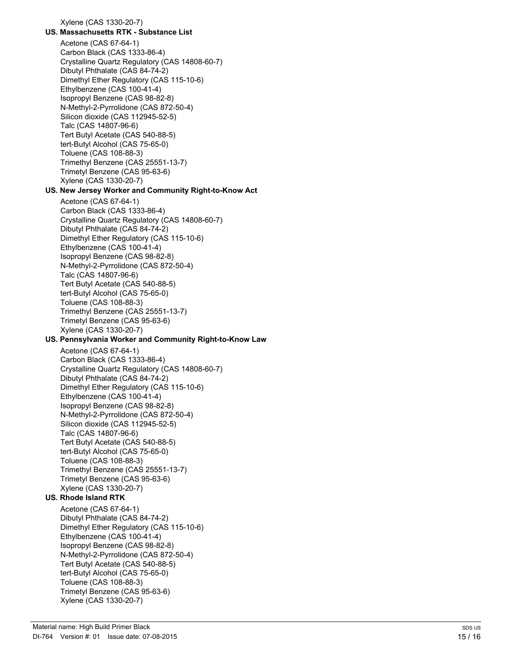Xylene (CAS 1330-20-7)

#### **US. Massachusetts RTK - Substance List**

Acetone (CAS 67-64-1) Carbon Black (CAS 1333-86-4) Crystalline Quartz Regulatory (CAS 14808-60-7) Dibutyl Phthalate (CAS 84-74-2) Dimethyl Ether Regulatory (CAS 115-10-6) Ethylbenzene (CAS 100-41-4) Isopropyl Benzene (CAS 98-82-8) N-Methyl-2-Pyrrolidone (CAS 872-50-4) Silicon dioxide (CAS 112945-52-5) Talc (CAS 14807-96-6) Tert Butyl Acetate (CAS 540-88-5) tert-Butyl Alcohol (CAS 75-65-0) Toluene (CAS 108-88-3) Trimethyl Benzene (CAS 25551-13-7) Trimetyl Benzene (CAS 95-63-6) Xylene (CAS 1330-20-7)

#### **US. New Jersey Worker and Community Right-to-Know Act**

Acetone (CAS 67-64-1) Carbon Black (CAS 1333-86-4) Crystalline Quartz Regulatory (CAS 14808-60-7) Dibutyl Phthalate (CAS 84-74-2) Dimethyl Ether Regulatory (CAS 115-10-6) Ethylbenzene (CAS 100-41-4) Isopropyl Benzene (CAS 98-82-8) N-Methyl-2-Pyrrolidone (CAS 872-50-4) Talc (CAS 14807-96-6) Tert Butyl Acetate (CAS 540-88-5) tert-Butyl Alcohol (CAS 75-65-0) Toluene (CAS 108-88-3) Trimethyl Benzene (CAS 25551-13-7) Trimetyl Benzene (CAS 95-63-6) Xylene (CAS 1330-20-7)

#### **US. Pennsylvania Worker and Community Right-to-Know Law**

Acetone (CAS 67-64-1) Carbon Black (CAS 1333-86-4) Crystalline Quartz Regulatory (CAS 14808-60-7) Dibutyl Phthalate (CAS 84-74-2) Dimethyl Ether Regulatory (CAS 115-10-6) Ethylbenzene (CAS 100-41-4) Isopropyl Benzene (CAS 98-82-8) N-Methyl-2-Pyrrolidone (CAS 872-50-4) Silicon dioxide (CAS 112945-52-5) Talc (CAS 14807-96-6) Tert Butyl Acetate (CAS 540-88-5) tert-Butyl Alcohol (CAS 75-65-0) Toluene (CAS 108-88-3) Trimethyl Benzene (CAS 25551-13-7) Trimetyl Benzene (CAS 95-63-6) Xylene (CAS 1330-20-7)

### **US. Rhode Island RTK**

Acetone (CAS 67-64-1) Dibutyl Phthalate (CAS 84-74-2) Dimethyl Ether Regulatory (CAS 115-10-6) Ethylbenzene (CAS 100-41-4) Isopropyl Benzene (CAS 98-82-8) N-Methyl-2-Pyrrolidone (CAS 872-50-4) Tert Butyl Acetate (CAS 540-88-5) tert-Butyl Alcohol (CAS 75-65-0) Toluene (CAS 108-88-3) Trimetyl Benzene (CAS 95-63-6) Xylene (CAS 1330-20-7)